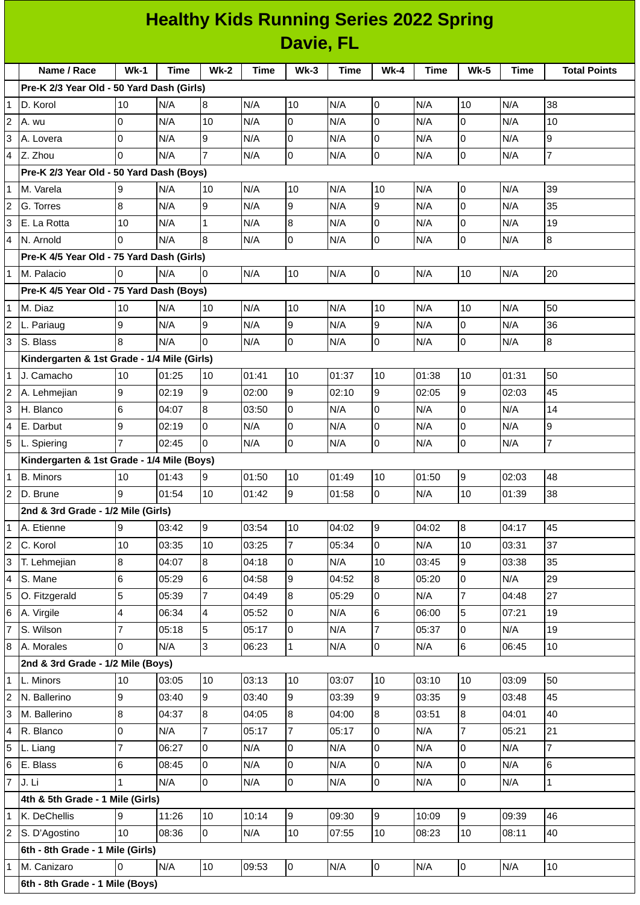## **Healthy Kids Running Series 2022 Spring Davie, FL**

| $Wk-1$<br>$Wk-2$<br>$Wk-3$<br>Name / Race<br>Time<br>Time<br><b>Time</b><br>$Wk-4$<br><b>Time</b><br><b>Wk-5</b><br><b>Time</b><br>Pre-K 2/3 Year Old - 50 Yard Dash (Girls)<br>N/A<br>8<br>$\mathbf{1}$<br>10<br>N/A<br>10<br>N/A<br>$\overline{0}$<br>N/A<br>10<br>N/A<br>38<br>D. Korol<br>$\mathbf 0$<br>10<br>$\overline{c}$<br>$\overline{0}$<br>N/A<br>10<br>N/A<br>0<br>N/A<br>0<br>N/A<br>N/A<br>A. wu<br>$\mathsf 0$<br>3<br>$\overline{0}$<br>N/A<br>9<br>0<br>N/A<br>$\pmb{0}$<br>N/A<br>9<br>N/A<br>N/A<br>A. Lovera<br>$\overline{7}$<br>$\mathsf{O}\xspace$<br>$\overline{7}$<br>$\Omega$<br>$\mathsf{O}$<br>$\overline{0}$<br>N/A<br>N/A<br>N/A<br>N/A<br>4<br>Z. Zhou<br>N/A<br>Pre-K 2/3 Year Old - 50 Yard Dash (Boys)<br>N/A<br>$\mathsf 0$<br>39<br>N/A<br>10<br>10<br>N/A<br>N/A<br>M. Varela<br>9<br>N/A<br>10<br>1<br>$\mathbf 0$<br>$\bf{8}$<br>l9<br>9<br>9<br>35<br>N/A<br>2<br>N/A<br>N/A<br>N/A<br>N/A<br>G. Torres<br>$\mathsf{O}\xspace$<br>8<br>19<br>3<br>10<br>N/A<br>$\mathbf{1}$<br>N/A<br>N/A<br>0<br>N/A<br>N/A<br>E. La Rotta<br>$\mathsf 0$<br>$\mathsf{O}\xspace$<br>$\overline{8}$<br>$\Omega$<br>N/A<br>0<br>N/A<br>8<br>$\overline{4}$<br>N/A<br>N/A<br>N/A<br>N. Arnold<br>Pre-K 4/5 Year Old - 75 Yard Dash (Girls)<br>l0<br>N/A<br>l0<br>l0<br>10<br>20<br>N/A<br>10<br>N/A<br>N/A<br>N/A<br>$\mathbf{1}$<br>M. Palacio<br>Pre-K 4/5 Year Old - 75 Yard Dash (Boys)<br>10<br>50<br>N/A<br>10<br>N/A<br>10<br>N/A<br>N/A<br>N/A<br>$\mathbf{1}$<br>10<br>10<br>M. Diaz<br>9<br>9<br>9<br>N/A<br>9<br>0<br>36<br>N/A<br>N/A<br>N/A<br>N/A<br>L. Pariaug<br>$\mathsf{O}\xspace$<br>$\mathsf 0$<br>3<br>8<br>$\overline{0}$<br>$\pmb{0}$<br>8<br>S. Blass<br>N/A<br>N/A<br>N/A<br>N/A<br>N/A<br>Kindergarten & 1st Grade - 1/4 Mile (Girls)<br>10<br>10<br>50<br>J. Camacho<br>01:25<br>10<br>01:41<br>10<br>01:37<br>10<br>01:38<br>01:31<br>$\mathbf{1}$<br>9<br>l9<br>$\overline{9}$<br>9<br>45<br>9<br>$\overline{c}$<br>02:19<br>02:00<br>02:10<br>A. Lehmejian<br>02:05<br>02:03<br>$\,$ 6<br>8<br>$\overline{0}$<br>$\overline{0}$<br>N/A<br>0<br>N/A<br>14<br>3<br>H. Blanco<br>04:07<br>03:50<br>N/A<br>9<br>$\mathsf{O}\xspace$<br>$\mathsf{O}$<br>$\mathsf 0$<br>0<br>N/A<br>N/A<br>9<br>4<br>N/A<br>N/A<br>E. Darbut<br>02:19<br>$\overline{7}$<br>$\mathbf 0$<br>5<br>$\overline{7}$<br>l0<br>N/A<br>$\overline{0}$<br>N/A<br>0<br>N/A<br>02:45<br>N/A<br>L. Spiering<br>Kindergarten & 1st Grade - 1/4 Mile (Boys)<br>$\overline{9}$<br>01:49<br>48<br>$\mathbf{1}$<br><b>B.</b> Minors<br>10<br>01:43<br>9<br>01:50<br>10<br>10<br>01:50<br>02:03<br>38<br>9<br>$\overline{0}$<br>10<br>$\overline{2}$<br>01:54<br>10<br>01:42<br>9<br>01:58<br>D. Brune<br>N/A<br>01:39<br>2nd & 3rd Grade - 1/2 Mile (Girls)<br>9<br>9<br>9<br>$\overline{8}$<br>45<br>$\mathbf 1$<br>03:42<br>03:54<br>10<br>04:02<br>04:02<br>04:17<br>A. Etienne<br>$\overline{7}$<br>37<br>C. Korol<br>10<br>10<br>2<br>03:35<br>10<br>03:25<br>05:34<br>$\overline{0}$<br>N/A<br>03:31<br>$\overline{8}$<br>9<br>3<br>T. Lehmejian<br>8<br>35<br>04:07<br>04:18<br>0<br>N/A<br>10<br>03:45<br>03:38<br>$6\phantom{1}6$<br>29<br>6<br>9<br>$\bf{8}$<br>0<br>N/A<br>4<br>S. Mane<br>05:29<br>04:58<br>04:52<br>05:20<br>$\overline{7}$<br>5<br>5<br>27<br>O. Fitzgerald<br>7<br>8<br>05:29<br>$\overline{0}$<br>05:39<br>04:49<br>N/A<br>04:48<br>$\overline{\mathbf{4}}$<br>$\overline{0}$<br>$6\phantom{.}$<br>5<br>19<br>6<br>4<br>A. Virgile<br>06:34<br>05:52<br>N/A<br>06:00<br>07:21<br>$\overline{7}$<br>7<br>5<br>N/A<br>$\overline{7}$<br>0<br>N/A<br>19<br>S. Wilson<br>05:18<br>05:17<br>0<br>05:37<br>6<br>$\overline{3}$<br>$\overline{0}$<br>$10\,$<br>8<br>$\Omega$<br>N/A<br>06:23<br>$\mathbf 1$<br>N/A<br>A. Morales<br>N/A<br>06:45<br>2nd & 3rd Grade - 1/2 Mile (Boys)<br>50<br>10<br>10<br>03:13<br>10<br>03:07<br>10<br>03:10<br>10<br>03:09<br>1<br>L. Minors<br>03:05<br>9<br>9<br>9<br>45<br>$\overline{c}$<br>9<br>9<br>N. Ballerino<br>03:40<br>03:40<br>03:39<br>03:35<br>03:48<br>$\bf{8}$<br>8<br>3<br>8<br>8<br>8<br>40<br>M. Ballerino<br>04:37<br>04:05<br>04:00<br>03:51<br>04:01<br>$\overline{7}$<br>0<br>7<br>7<br>$\overline{0}$<br>21<br>R. Blanco<br>N/A<br>05:17<br>05:17<br>N/A<br>05:21<br>4<br>$\overline{7}$<br>$\mathsf{O}\xspace$<br>$\overline{7}$<br>5<br>lo<br>0<br>0<br>N/A<br>06:27<br>N/A<br>N/A<br>N/A<br>L. Liang<br>0<br>6<br>$\,$ 6<br>0<br>N/A<br>0<br>N/A<br>0<br>N/A<br>6<br>E. Blass<br>08:45<br>N/A<br>$\overline{7}$<br>0<br>J. Li<br>N/A<br>0<br>N/A<br>$\overline{0}$<br>$\mathbf 1$<br>$\mathbf{1}$<br>0<br>N/A<br>N/A<br>N/A<br>4th & 5th Grade - 1 Mile (Girls)<br>K. DeChellis<br>9<br>9<br>9<br>09:39<br>46<br>9<br>11:26<br>10<br>10:14<br>09:30<br>10:09<br>1<br>$\overline{c}$<br>10<br>10<br>$10\,$<br>40<br>S. D'Agostino<br>08:36<br>0<br>N/A<br>07:55<br>10<br>08:23<br>08:11<br>6th - 8th Grade - 1 Mile (Girls)<br>I٥<br>10<br>0<br>$\overline{0}$<br>$\boldsymbol{0}$<br>10<br>M. Canizaro<br>N/A<br>09:53<br>N/A<br>N/A<br>N/A<br>1<br>6th - 8th Grade - 1 Mile (Boys) |  |  |  |  |  |  |  |  |  |  |  |                     |
|------------------------------------------------------------------------------------------------------------------------------------------------------------------------------------------------------------------------------------------------------------------------------------------------------------------------------------------------------------------------------------------------------------------------------------------------------------------------------------------------------------------------------------------------------------------------------------------------------------------------------------------------------------------------------------------------------------------------------------------------------------------------------------------------------------------------------------------------------------------------------------------------------------------------------------------------------------------------------------------------------------------------------------------------------------------------------------------------------------------------------------------------------------------------------------------------------------------------------------------------------------------------------------------------------------------------------------------------------------------------------------------------------------------------------------------------------------------------------------------------------------------------------------------------------------------------------------------------------------------------------------------------------------------------------------------------------------------------------------------------------------------------------------------------------------------------------------------------------------------------------------------------------------------------------------------------------------------------------------------------------------------------------------------------------------------------------------------------------------------------------------------------------------------------------------------------------------------------------------------------------------------------------------------------------------------------------------------------------------------------------------------------------------------------------------------------------------------------------------------------------------------------------------------------------------------------------------------------------------------------------------------------------------------------------------------------------------------------------------------------------------------------------------------------------------------------------------------------------------------------------------------------------------------------------------------------------------------------------------------------------------------------------------------------------------------------------------------------------------------------------------------------------------------------------------------------------------------------------------------------------------------------------------------------------------------------------------------------------------------------------------------------------------------------------------------------------------------------------------------------------------------------------------------------------------------------------------------------------------------------------------------------------------------------------------------------------------------------------------------------------------------------------------------------------------------------------------------------------------------------------------------------------------------------------------------------------------------------------------------------------------------------------------------------------------------------------------------------------------------------------------------------------------------------------------------------------------------------------------------------------------------------------------------------------------------------------------------------------------------------------------------------------------------------------------------------------------------------------------------------------------------------------------------------------------------------------------------------------------------------------------------------------------------------------------------------------------------------------------------------------------------------------------------------------------------------------------------------------------------------------------------------------------------------------------------------------------------------------------------------------------------------------------------------------------------------------------------|--|--|--|--|--|--|--|--|--|--|--|---------------------|
|                                                                                                                                                                                                                                                                                                                                                                                                                                                                                                                                                                                                                                                                                                                                                                                                                                                                                                                                                                                                                                                                                                                                                                                                                                                                                                                                                                                                                                                                                                                                                                                                                                                                                                                                                                                                                                                                                                                                                                                                                                                                                                                                                                                                                                                                                                                                                                                                                                                                                                                                                                                                                                                                                                                                                                                                                                                                                                                                                                                                                                                                                                                                                                                                                                                                                                                                                                                                                                                                                                                                                                                                                                                                                                                                                                                                                                                                                                                                                                                                                                                                                                                                                                                                                                                                                                                                                                                                                                                                                                                                                                                                                                                                                                                                                                                                                                                                                                                                                                                                                                                                                          |  |  |  |  |  |  |  |  |  |  |  | <b>Total Points</b> |
|                                                                                                                                                                                                                                                                                                                                                                                                                                                                                                                                                                                                                                                                                                                                                                                                                                                                                                                                                                                                                                                                                                                                                                                                                                                                                                                                                                                                                                                                                                                                                                                                                                                                                                                                                                                                                                                                                                                                                                                                                                                                                                                                                                                                                                                                                                                                                                                                                                                                                                                                                                                                                                                                                                                                                                                                                                                                                                                                                                                                                                                                                                                                                                                                                                                                                                                                                                                                                                                                                                                                                                                                                                                                                                                                                                                                                                                                                                                                                                                                                                                                                                                                                                                                                                                                                                                                                                                                                                                                                                                                                                                                                                                                                                                                                                                                                                                                                                                                                                                                                                                                                          |  |  |  |  |  |  |  |  |  |  |  |                     |
|                                                                                                                                                                                                                                                                                                                                                                                                                                                                                                                                                                                                                                                                                                                                                                                                                                                                                                                                                                                                                                                                                                                                                                                                                                                                                                                                                                                                                                                                                                                                                                                                                                                                                                                                                                                                                                                                                                                                                                                                                                                                                                                                                                                                                                                                                                                                                                                                                                                                                                                                                                                                                                                                                                                                                                                                                                                                                                                                                                                                                                                                                                                                                                                                                                                                                                                                                                                                                                                                                                                                                                                                                                                                                                                                                                                                                                                                                                                                                                                                                                                                                                                                                                                                                                                                                                                                                                                                                                                                                                                                                                                                                                                                                                                                                                                                                                                                                                                                                                                                                                                                                          |  |  |  |  |  |  |  |  |  |  |  |                     |
|                                                                                                                                                                                                                                                                                                                                                                                                                                                                                                                                                                                                                                                                                                                                                                                                                                                                                                                                                                                                                                                                                                                                                                                                                                                                                                                                                                                                                                                                                                                                                                                                                                                                                                                                                                                                                                                                                                                                                                                                                                                                                                                                                                                                                                                                                                                                                                                                                                                                                                                                                                                                                                                                                                                                                                                                                                                                                                                                                                                                                                                                                                                                                                                                                                                                                                                                                                                                                                                                                                                                                                                                                                                                                                                                                                                                                                                                                                                                                                                                                                                                                                                                                                                                                                                                                                                                                                                                                                                                                                                                                                                                                                                                                                                                                                                                                                                                                                                                                                                                                                                                                          |  |  |  |  |  |  |  |  |  |  |  |                     |
|                                                                                                                                                                                                                                                                                                                                                                                                                                                                                                                                                                                                                                                                                                                                                                                                                                                                                                                                                                                                                                                                                                                                                                                                                                                                                                                                                                                                                                                                                                                                                                                                                                                                                                                                                                                                                                                                                                                                                                                                                                                                                                                                                                                                                                                                                                                                                                                                                                                                                                                                                                                                                                                                                                                                                                                                                                                                                                                                                                                                                                                                                                                                                                                                                                                                                                                                                                                                                                                                                                                                                                                                                                                                                                                                                                                                                                                                                                                                                                                                                                                                                                                                                                                                                                                                                                                                                                                                                                                                                                                                                                                                                                                                                                                                                                                                                                                                                                                                                                                                                                                                                          |  |  |  |  |  |  |  |  |  |  |  |                     |
|                                                                                                                                                                                                                                                                                                                                                                                                                                                                                                                                                                                                                                                                                                                                                                                                                                                                                                                                                                                                                                                                                                                                                                                                                                                                                                                                                                                                                                                                                                                                                                                                                                                                                                                                                                                                                                                                                                                                                                                                                                                                                                                                                                                                                                                                                                                                                                                                                                                                                                                                                                                                                                                                                                                                                                                                                                                                                                                                                                                                                                                                                                                                                                                                                                                                                                                                                                                                                                                                                                                                                                                                                                                                                                                                                                                                                                                                                                                                                                                                                                                                                                                                                                                                                                                                                                                                                                                                                                                                                                                                                                                                                                                                                                                                                                                                                                                                                                                                                                                                                                                                                          |  |  |  |  |  |  |  |  |  |  |  |                     |
|                                                                                                                                                                                                                                                                                                                                                                                                                                                                                                                                                                                                                                                                                                                                                                                                                                                                                                                                                                                                                                                                                                                                                                                                                                                                                                                                                                                                                                                                                                                                                                                                                                                                                                                                                                                                                                                                                                                                                                                                                                                                                                                                                                                                                                                                                                                                                                                                                                                                                                                                                                                                                                                                                                                                                                                                                                                                                                                                                                                                                                                                                                                                                                                                                                                                                                                                                                                                                                                                                                                                                                                                                                                                                                                                                                                                                                                                                                                                                                                                                                                                                                                                                                                                                                                                                                                                                                                                                                                                                                                                                                                                                                                                                                                                                                                                                                                                                                                                                                                                                                                                                          |  |  |  |  |  |  |  |  |  |  |  |                     |
|                                                                                                                                                                                                                                                                                                                                                                                                                                                                                                                                                                                                                                                                                                                                                                                                                                                                                                                                                                                                                                                                                                                                                                                                                                                                                                                                                                                                                                                                                                                                                                                                                                                                                                                                                                                                                                                                                                                                                                                                                                                                                                                                                                                                                                                                                                                                                                                                                                                                                                                                                                                                                                                                                                                                                                                                                                                                                                                                                                                                                                                                                                                                                                                                                                                                                                                                                                                                                                                                                                                                                                                                                                                                                                                                                                                                                                                                                                                                                                                                                                                                                                                                                                                                                                                                                                                                                                                                                                                                                                                                                                                                                                                                                                                                                                                                                                                                                                                                                                                                                                                                                          |  |  |  |  |  |  |  |  |  |  |  |                     |
|                                                                                                                                                                                                                                                                                                                                                                                                                                                                                                                                                                                                                                                                                                                                                                                                                                                                                                                                                                                                                                                                                                                                                                                                                                                                                                                                                                                                                                                                                                                                                                                                                                                                                                                                                                                                                                                                                                                                                                                                                                                                                                                                                                                                                                                                                                                                                                                                                                                                                                                                                                                                                                                                                                                                                                                                                                                                                                                                                                                                                                                                                                                                                                                                                                                                                                                                                                                                                                                                                                                                                                                                                                                                                                                                                                                                                                                                                                                                                                                                                                                                                                                                                                                                                                                                                                                                                                                                                                                                                                                                                                                                                                                                                                                                                                                                                                                                                                                                                                                                                                                                                          |  |  |  |  |  |  |  |  |  |  |  |                     |
|                                                                                                                                                                                                                                                                                                                                                                                                                                                                                                                                                                                                                                                                                                                                                                                                                                                                                                                                                                                                                                                                                                                                                                                                                                                                                                                                                                                                                                                                                                                                                                                                                                                                                                                                                                                                                                                                                                                                                                                                                                                                                                                                                                                                                                                                                                                                                                                                                                                                                                                                                                                                                                                                                                                                                                                                                                                                                                                                                                                                                                                                                                                                                                                                                                                                                                                                                                                                                                                                                                                                                                                                                                                                                                                                                                                                                                                                                                                                                                                                                                                                                                                                                                                                                                                                                                                                                                                                                                                                                                                                                                                                                                                                                                                                                                                                                                                                                                                                                                                                                                                                                          |  |  |  |  |  |  |  |  |  |  |  |                     |
|                                                                                                                                                                                                                                                                                                                                                                                                                                                                                                                                                                                                                                                                                                                                                                                                                                                                                                                                                                                                                                                                                                                                                                                                                                                                                                                                                                                                                                                                                                                                                                                                                                                                                                                                                                                                                                                                                                                                                                                                                                                                                                                                                                                                                                                                                                                                                                                                                                                                                                                                                                                                                                                                                                                                                                                                                                                                                                                                                                                                                                                                                                                                                                                                                                                                                                                                                                                                                                                                                                                                                                                                                                                                                                                                                                                                                                                                                                                                                                                                                                                                                                                                                                                                                                                                                                                                                                                                                                                                                                                                                                                                                                                                                                                                                                                                                                                                                                                                                                                                                                                                                          |  |  |  |  |  |  |  |  |  |  |  |                     |
|                                                                                                                                                                                                                                                                                                                                                                                                                                                                                                                                                                                                                                                                                                                                                                                                                                                                                                                                                                                                                                                                                                                                                                                                                                                                                                                                                                                                                                                                                                                                                                                                                                                                                                                                                                                                                                                                                                                                                                                                                                                                                                                                                                                                                                                                                                                                                                                                                                                                                                                                                                                                                                                                                                                                                                                                                                                                                                                                                                                                                                                                                                                                                                                                                                                                                                                                                                                                                                                                                                                                                                                                                                                                                                                                                                                                                                                                                                                                                                                                                                                                                                                                                                                                                                                                                                                                                                                                                                                                                                                                                                                                                                                                                                                                                                                                                                                                                                                                                                                                                                                                                          |  |  |  |  |  |  |  |  |  |  |  |                     |
|                                                                                                                                                                                                                                                                                                                                                                                                                                                                                                                                                                                                                                                                                                                                                                                                                                                                                                                                                                                                                                                                                                                                                                                                                                                                                                                                                                                                                                                                                                                                                                                                                                                                                                                                                                                                                                                                                                                                                                                                                                                                                                                                                                                                                                                                                                                                                                                                                                                                                                                                                                                                                                                                                                                                                                                                                                                                                                                                                                                                                                                                                                                                                                                                                                                                                                                                                                                                                                                                                                                                                                                                                                                                                                                                                                                                                                                                                                                                                                                                                                                                                                                                                                                                                                                                                                                                                                                                                                                                                                                                                                                                                                                                                                                                                                                                                                                                                                                                                                                                                                                                                          |  |  |  |  |  |  |  |  |  |  |  |                     |
|                                                                                                                                                                                                                                                                                                                                                                                                                                                                                                                                                                                                                                                                                                                                                                                                                                                                                                                                                                                                                                                                                                                                                                                                                                                                                                                                                                                                                                                                                                                                                                                                                                                                                                                                                                                                                                                                                                                                                                                                                                                                                                                                                                                                                                                                                                                                                                                                                                                                                                                                                                                                                                                                                                                                                                                                                                                                                                                                                                                                                                                                                                                                                                                                                                                                                                                                                                                                                                                                                                                                                                                                                                                                                                                                                                                                                                                                                                                                                                                                                                                                                                                                                                                                                                                                                                                                                                                                                                                                                                                                                                                                                                                                                                                                                                                                                                                                                                                                                                                                                                                                                          |  |  |  |  |  |  |  |  |  |  |  |                     |
|                                                                                                                                                                                                                                                                                                                                                                                                                                                                                                                                                                                                                                                                                                                                                                                                                                                                                                                                                                                                                                                                                                                                                                                                                                                                                                                                                                                                                                                                                                                                                                                                                                                                                                                                                                                                                                                                                                                                                                                                                                                                                                                                                                                                                                                                                                                                                                                                                                                                                                                                                                                                                                                                                                                                                                                                                                                                                                                                                                                                                                                                                                                                                                                                                                                                                                                                                                                                                                                                                                                                                                                                                                                                                                                                                                                                                                                                                                                                                                                                                                                                                                                                                                                                                                                                                                                                                                                                                                                                                                                                                                                                                                                                                                                                                                                                                                                                                                                                                                                                                                                                                          |  |  |  |  |  |  |  |  |  |  |  |                     |
|                                                                                                                                                                                                                                                                                                                                                                                                                                                                                                                                                                                                                                                                                                                                                                                                                                                                                                                                                                                                                                                                                                                                                                                                                                                                                                                                                                                                                                                                                                                                                                                                                                                                                                                                                                                                                                                                                                                                                                                                                                                                                                                                                                                                                                                                                                                                                                                                                                                                                                                                                                                                                                                                                                                                                                                                                                                                                                                                                                                                                                                                                                                                                                                                                                                                                                                                                                                                                                                                                                                                                                                                                                                                                                                                                                                                                                                                                                                                                                                                                                                                                                                                                                                                                                                                                                                                                                                                                                                                                                                                                                                                                                                                                                                                                                                                                                                                                                                                                                                                                                                                                          |  |  |  |  |  |  |  |  |  |  |  |                     |
|                                                                                                                                                                                                                                                                                                                                                                                                                                                                                                                                                                                                                                                                                                                                                                                                                                                                                                                                                                                                                                                                                                                                                                                                                                                                                                                                                                                                                                                                                                                                                                                                                                                                                                                                                                                                                                                                                                                                                                                                                                                                                                                                                                                                                                                                                                                                                                                                                                                                                                                                                                                                                                                                                                                                                                                                                                                                                                                                                                                                                                                                                                                                                                                                                                                                                                                                                                                                                                                                                                                                                                                                                                                                                                                                                                                                                                                                                                                                                                                                                                                                                                                                                                                                                                                                                                                                                                                                                                                                                                                                                                                                                                                                                                                                                                                                                                                                                                                                                                                                                                                                                          |  |  |  |  |  |  |  |  |  |  |  |                     |
|                                                                                                                                                                                                                                                                                                                                                                                                                                                                                                                                                                                                                                                                                                                                                                                                                                                                                                                                                                                                                                                                                                                                                                                                                                                                                                                                                                                                                                                                                                                                                                                                                                                                                                                                                                                                                                                                                                                                                                                                                                                                                                                                                                                                                                                                                                                                                                                                                                                                                                                                                                                                                                                                                                                                                                                                                                                                                                                                                                                                                                                                                                                                                                                                                                                                                                                                                                                                                                                                                                                                                                                                                                                                                                                                                                                                                                                                                                                                                                                                                                                                                                                                                                                                                                                                                                                                                                                                                                                                                                                                                                                                                                                                                                                                                                                                                                                                                                                                                                                                                                                                                          |  |  |  |  |  |  |  |  |  |  |  |                     |
|                                                                                                                                                                                                                                                                                                                                                                                                                                                                                                                                                                                                                                                                                                                                                                                                                                                                                                                                                                                                                                                                                                                                                                                                                                                                                                                                                                                                                                                                                                                                                                                                                                                                                                                                                                                                                                                                                                                                                                                                                                                                                                                                                                                                                                                                                                                                                                                                                                                                                                                                                                                                                                                                                                                                                                                                                                                                                                                                                                                                                                                                                                                                                                                                                                                                                                                                                                                                                                                                                                                                                                                                                                                                                                                                                                                                                                                                                                                                                                                                                                                                                                                                                                                                                                                                                                                                                                                                                                                                                                                                                                                                                                                                                                                                                                                                                                                                                                                                                                                                                                                                                          |  |  |  |  |  |  |  |  |  |  |  |                     |
|                                                                                                                                                                                                                                                                                                                                                                                                                                                                                                                                                                                                                                                                                                                                                                                                                                                                                                                                                                                                                                                                                                                                                                                                                                                                                                                                                                                                                                                                                                                                                                                                                                                                                                                                                                                                                                                                                                                                                                                                                                                                                                                                                                                                                                                                                                                                                                                                                                                                                                                                                                                                                                                                                                                                                                                                                                                                                                                                                                                                                                                                                                                                                                                                                                                                                                                                                                                                                                                                                                                                                                                                                                                                                                                                                                                                                                                                                                                                                                                                                                                                                                                                                                                                                                                                                                                                                                                                                                                                                                                                                                                                                                                                                                                                                                                                                                                                                                                                                                                                                                                                                          |  |  |  |  |  |  |  |  |  |  |  |                     |
|                                                                                                                                                                                                                                                                                                                                                                                                                                                                                                                                                                                                                                                                                                                                                                                                                                                                                                                                                                                                                                                                                                                                                                                                                                                                                                                                                                                                                                                                                                                                                                                                                                                                                                                                                                                                                                                                                                                                                                                                                                                                                                                                                                                                                                                                                                                                                                                                                                                                                                                                                                                                                                                                                                                                                                                                                                                                                                                                                                                                                                                                                                                                                                                                                                                                                                                                                                                                                                                                                                                                                                                                                                                                                                                                                                                                                                                                                                                                                                                                                                                                                                                                                                                                                                                                                                                                                                                                                                                                                                                                                                                                                                                                                                                                                                                                                                                                                                                                                                                                                                                                                          |  |  |  |  |  |  |  |  |  |  |  |                     |
|                                                                                                                                                                                                                                                                                                                                                                                                                                                                                                                                                                                                                                                                                                                                                                                                                                                                                                                                                                                                                                                                                                                                                                                                                                                                                                                                                                                                                                                                                                                                                                                                                                                                                                                                                                                                                                                                                                                                                                                                                                                                                                                                                                                                                                                                                                                                                                                                                                                                                                                                                                                                                                                                                                                                                                                                                                                                                                                                                                                                                                                                                                                                                                                                                                                                                                                                                                                                                                                                                                                                                                                                                                                                                                                                                                                                                                                                                                                                                                                                                                                                                                                                                                                                                                                                                                                                                                                                                                                                                                                                                                                                                                                                                                                                                                                                                                                                                                                                                                                                                                                                                          |  |  |  |  |  |  |  |  |  |  |  |                     |
|                                                                                                                                                                                                                                                                                                                                                                                                                                                                                                                                                                                                                                                                                                                                                                                                                                                                                                                                                                                                                                                                                                                                                                                                                                                                                                                                                                                                                                                                                                                                                                                                                                                                                                                                                                                                                                                                                                                                                                                                                                                                                                                                                                                                                                                                                                                                                                                                                                                                                                                                                                                                                                                                                                                                                                                                                                                                                                                                                                                                                                                                                                                                                                                                                                                                                                                                                                                                                                                                                                                                                                                                                                                                                                                                                                                                                                                                                                                                                                                                                                                                                                                                                                                                                                                                                                                                                                                                                                                                                                                                                                                                                                                                                                                                                                                                                                                                                                                                                                                                                                                                                          |  |  |  |  |  |  |  |  |  |  |  |                     |
|                                                                                                                                                                                                                                                                                                                                                                                                                                                                                                                                                                                                                                                                                                                                                                                                                                                                                                                                                                                                                                                                                                                                                                                                                                                                                                                                                                                                                                                                                                                                                                                                                                                                                                                                                                                                                                                                                                                                                                                                                                                                                                                                                                                                                                                                                                                                                                                                                                                                                                                                                                                                                                                                                                                                                                                                                                                                                                                                                                                                                                                                                                                                                                                                                                                                                                                                                                                                                                                                                                                                                                                                                                                                                                                                                                                                                                                                                                                                                                                                                                                                                                                                                                                                                                                                                                                                                                                                                                                                                                                                                                                                                                                                                                                                                                                                                                                                                                                                                                                                                                                                                          |  |  |  |  |  |  |  |  |  |  |  |                     |
|                                                                                                                                                                                                                                                                                                                                                                                                                                                                                                                                                                                                                                                                                                                                                                                                                                                                                                                                                                                                                                                                                                                                                                                                                                                                                                                                                                                                                                                                                                                                                                                                                                                                                                                                                                                                                                                                                                                                                                                                                                                                                                                                                                                                                                                                                                                                                                                                                                                                                                                                                                                                                                                                                                                                                                                                                                                                                                                                                                                                                                                                                                                                                                                                                                                                                                                                                                                                                                                                                                                                                                                                                                                                                                                                                                                                                                                                                                                                                                                                                                                                                                                                                                                                                                                                                                                                                                                                                                                                                                                                                                                                                                                                                                                                                                                                                                                                                                                                                                                                                                                                                          |  |  |  |  |  |  |  |  |  |  |  |                     |
|                                                                                                                                                                                                                                                                                                                                                                                                                                                                                                                                                                                                                                                                                                                                                                                                                                                                                                                                                                                                                                                                                                                                                                                                                                                                                                                                                                                                                                                                                                                                                                                                                                                                                                                                                                                                                                                                                                                                                                                                                                                                                                                                                                                                                                                                                                                                                                                                                                                                                                                                                                                                                                                                                                                                                                                                                                                                                                                                                                                                                                                                                                                                                                                                                                                                                                                                                                                                                                                                                                                                                                                                                                                                                                                                                                                                                                                                                                                                                                                                                                                                                                                                                                                                                                                                                                                                                                                                                                                                                                                                                                                                                                                                                                                                                                                                                                                                                                                                                                                                                                                                                          |  |  |  |  |  |  |  |  |  |  |  |                     |
|                                                                                                                                                                                                                                                                                                                                                                                                                                                                                                                                                                                                                                                                                                                                                                                                                                                                                                                                                                                                                                                                                                                                                                                                                                                                                                                                                                                                                                                                                                                                                                                                                                                                                                                                                                                                                                                                                                                                                                                                                                                                                                                                                                                                                                                                                                                                                                                                                                                                                                                                                                                                                                                                                                                                                                                                                                                                                                                                                                                                                                                                                                                                                                                                                                                                                                                                                                                                                                                                                                                                                                                                                                                                                                                                                                                                                                                                                                                                                                                                                                                                                                                                                                                                                                                                                                                                                                                                                                                                                                                                                                                                                                                                                                                                                                                                                                                                                                                                                                                                                                                                                          |  |  |  |  |  |  |  |  |  |  |  |                     |
|                                                                                                                                                                                                                                                                                                                                                                                                                                                                                                                                                                                                                                                                                                                                                                                                                                                                                                                                                                                                                                                                                                                                                                                                                                                                                                                                                                                                                                                                                                                                                                                                                                                                                                                                                                                                                                                                                                                                                                                                                                                                                                                                                                                                                                                                                                                                                                                                                                                                                                                                                                                                                                                                                                                                                                                                                                                                                                                                                                                                                                                                                                                                                                                                                                                                                                                                                                                                                                                                                                                                                                                                                                                                                                                                                                                                                                                                                                                                                                                                                                                                                                                                                                                                                                                                                                                                                                                                                                                                                                                                                                                                                                                                                                                                                                                                                                                                                                                                                                                                                                                                                          |  |  |  |  |  |  |  |  |  |  |  |                     |
|                                                                                                                                                                                                                                                                                                                                                                                                                                                                                                                                                                                                                                                                                                                                                                                                                                                                                                                                                                                                                                                                                                                                                                                                                                                                                                                                                                                                                                                                                                                                                                                                                                                                                                                                                                                                                                                                                                                                                                                                                                                                                                                                                                                                                                                                                                                                                                                                                                                                                                                                                                                                                                                                                                                                                                                                                                                                                                                                                                                                                                                                                                                                                                                                                                                                                                                                                                                                                                                                                                                                                                                                                                                                                                                                                                                                                                                                                                                                                                                                                                                                                                                                                                                                                                                                                                                                                                                                                                                                                                                                                                                                                                                                                                                                                                                                                                                                                                                                                                                                                                                                                          |  |  |  |  |  |  |  |  |  |  |  |                     |
|                                                                                                                                                                                                                                                                                                                                                                                                                                                                                                                                                                                                                                                                                                                                                                                                                                                                                                                                                                                                                                                                                                                                                                                                                                                                                                                                                                                                                                                                                                                                                                                                                                                                                                                                                                                                                                                                                                                                                                                                                                                                                                                                                                                                                                                                                                                                                                                                                                                                                                                                                                                                                                                                                                                                                                                                                                                                                                                                                                                                                                                                                                                                                                                                                                                                                                                                                                                                                                                                                                                                                                                                                                                                                                                                                                                                                                                                                                                                                                                                                                                                                                                                                                                                                                                                                                                                                                                                                                                                                                                                                                                                                                                                                                                                                                                                                                                                                                                                                                                                                                                                                          |  |  |  |  |  |  |  |  |  |  |  |                     |
|                                                                                                                                                                                                                                                                                                                                                                                                                                                                                                                                                                                                                                                                                                                                                                                                                                                                                                                                                                                                                                                                                                                                                                                                                                                                                                                                                                                                                                                                                                                                                                                                                                                                                                                                                                                                                                                                                                                                                                                                                                                                                                                                                                                                                                                                                                                                                                                                                                                                                                                                                                                                                                                                                                                                                                                                                                                                                                                                                                                                                                                                                                                                                                                                                                                                                                                                                                                                                                                                                                                                                                                                                                                                                                                                                                                                                                                                                                                                                                                                                                                                                                                                                                                                                                                                                                                                                                                                                                                                                                                                                                                                                                                                                                                                                                                                                                                                                                                                                                                                                                                                                          |  |  |  |  |  |  |  |  |  |  |  |                     |
|                                                                                                                                                                                                                                                                                                                                                                                                                                                                                                                                                                                                                                                                                                                                                                                                                                                                                                                                                                                                                                                                                                                                                                                                                                                                                                                                                                                                                                                                                                                                                                                                                                                                                                                                                                                                                                                                                                                                                                                                                                                                                                                                                                                                                                                                                                                                                                                                                                                                                                                                                                                                                                                                                                                                                                                                                                                                                                                                                                                                                                                                                                                                                                                                                                                                                                                                                                                                                                                                                                                                                                                                                                                                                                                                                                                                                                                                                                                                                                                                                                                                                                                                                                                                                                                                                                                                                                                                                                                                                                                                                                                                                                                                                                                                                                                                                                                                                                                                                                                                                                                                                          |  |  |  |  |  |  |  |  |  |  |  |                     |
|                                                                                                                                                                                                                                                                                                                                                                                                                                                                                                                                                                                                                                                                                                                                                                                                                                                                                                                                                                                                                                                                                                                                                                                                                                                                                                                                                                                                                                                                                                                                                                                                                                                                                                                                                                                                                                                                                                                                                                                                                                                                                                                                                                                                                                                                                                                                                                                                                                                                                                                                                                                                                                                                                                                                                                                                                                                                                                                                                                                                                                                                                                                                                                                                                                                                                                                                                                                                                                                                                                                                                                                                                                                                                                                                                                                                                                                                                                                                                                                                                                                                                                                                                                                                                                                                                                                                                                                                                                                                                                                                                                                                                                                                                                                                                                                                                                                                                                                                                                                                                                                                                          |  |  |  |  |  |  |  |  |  |  |  |                     |
|                                                                                                                                                                                                                                                                                                                                                                                                                                                                                                                                                                                                                                                                                                                                                                                                                                                                                                                                                                                                                                                                                                                                                                                                                                                                                                                                                                                                                                                                                                                                                                                                                                                                                                                                                                                                                                                                                                                                                                                                                                                                                                                                                                                                                                                                                                                                                                                                                                                                                                                                                                                                                                                                                                                                                                                                                                                                                                                                                                                                                                                                                                                                                                                                                                                                                                                                                                                                                                                                                                                                                                                                                                                                                                                                                                                                                                                                                                                                                                                                                                                                                                                                                                                                                                                                                                                                                                                                                                                                                                                                                                                                                                                                                                                                                                                                                                                                                                                                                                                                                                                                                          |  |  |  |  |  |  |  |  |  |  |  |                     |
|                                                                                                                                                                                                                                                                                                                                                                                                                                                                                                                                                                                                                                                                                                                                                                                                                                                                                                                                                                                                                                                                                                                                                                                                                                                                                                                                                                                                                                                                                                                                                                                                                                                                                                                                                                                                                                                                                                                                                                                                                                                                                                                                                                                                                                                                                                                                                                                                                                                                                                                                                                                                                                                                                                                                                                                                                                                                                                                                                                                                                                                                                                                                                                                                                                                                                                                                                                                                                                                                                                                                                                                                                                                                                                                                                                                                                                                                                                                                                                                                                                                                                                                                                                                                                                                                                                                                                                                                                                                                                                                                                                                                                                                                                                                                                                                                                                                                                                                                                                                                                                                                                          |  |  |  |  |  |  |  |  |  |  |  |                     |
|                                                                                                                                                                                                                                                                                                                                                                                                                                                                                                                                                                                                                                                                                                                                                                                                                                                                                                                                                                                                                                                                                                                                                                                                                                                                                                                                                                                                                                                                                                                                                                                                                                                                                                                                                                                                                                                                                                                                                                                                                                                                                                                                                                                                                                                                                                                                                                                                                                                                                                                                                                                                                                                                                                                                                                                                                                                                                                                                                                                                                                                                                                                                                                                                                                                                                                                                                                                                                                                                                                                                                                                                                                                                                                                                                                                                                                                                                                                                                                                                                                                                                                                                                                                                                                                                                                                                                                                                                                                                                                                                                                                                                                                                                                                                                                                                                                                                                                                                                                                                                                                                                          |  |  |  |  |  |  |  |  |  |  |  |                     |
|                                                                                                                                                                                                                                                                                                                                                                                                                                                                                                                                                                                                                                                                                                                                                                                                                                                                                                                                                                                                                                                                                                                                                                                                                                                                                                                                                                                                                                                                                                                                                                                                                                                                                                                                                                                                                                                                                                                                                                                                                                                                                                                                                                                                                                                                                                                                                                                                                                                                                                                                                                                                                                                                                                                                                                                                                                                                                                                                                                                                                                                                                                                                                                                                                                                                                                                                                                                                                                                                                                                                                                                                                                                                                                                                                                                                                                                                                                                                                                                                                                                                                                                                                                                                                                                                                                                                                                                                                                                                                                                                                                                                                                                                                                                                                                                                                                                                                                                                                                                                                                                                                          |  |  |  |  |  |  |  |  |  |  |  |                     |
|                                                                                                                                                                                                                                                                                                                                                                                                                                                                                                                                                                                                                                                                                                                                                                                                                                                                                                                                                                                                                                                                                                                                                                                                                                                                                                                                                                                                                                                                                                                                                                                                                                                                                                                                                                                                                                                                                                                                                                                                                                                                                                                                                                                                                                                                                                                                                                                                                                                                                                                                                                                                                                                                                                                                                                                                                                                                                                                                                                                                                                                                                                                                                                                                                                                                                                                                                                                                                                                                                                                                                                                                                                                                                                                                                                                                                                                                                                                                                                                                                                                                                                                                                                                                                                                                                                                                                                                                                                                                                                                                                                                                                                                                                                                                                                                                                                                                                                                                                                                                                                                                                          |  |  |  |  |  |  |  |  |  |  |  |                     |
|                                                                                                                                                                                                                                                                                                                                                                                                                                                                                                                                                                                                                                                                                                                                                                                                                                                                                                                                                                                                                                                                                                                                                                                                                                                                                                                                                                                                                                                                                                                                                                                                                                                                                                                                                                                                                                                                                                                                                                                                                                                                                                                                                                                                                                                                                                                                                                                                                                                                                                                                                                                                                                                                                                                                                                                                                                                                                                                                                                                                                                                                                                                                                                                                                                                                                                                                                                                                                                                                                                                                                                                                                                                                                                                                                                                                                                                                                                                                                                                                                                                                                                                                                                                                                                                                                                                                                                                                                                                                                                                                                                                                                                                                                                                                                                                                                                                                                                                                                                                                                                                                                          |  |  |  |  |  |  |  |  |  |  |  |                     |
|                                                                                                                                                                                                                                                                                                                                                                                                                                                                                                                                                                                                                                                                                                                                                                                                                                                                                                                                                                                                                                                                                                                                                                                                                                                                                                                                                                                                                                                                                                                                                                                                                                                                                                                                                                                                                                                                                                                                                                                                                                                                                                                                                                                                                                                                                                                                                                                                                                                                                                                                                                                                                                                                                                                                                                                                                                                                                                                                                                                                                                                                                                                                                                                                                                                                                                                                                                                                                                                                                                                                                                                                                                                                                                                                                                                                                                                                                                                                                                                                                                                                                                                                                                                                                                                                                                                                                                                                                                                                                                                                                                                                                                                                                                                                                                                                                                                                                                                                                                                                                                                                                          |  |  |  |  |  |  |  |  |  |  |  |                     |
|                                                                                                                                                                                                                                                                                                                                                                                                                                                                                                                                                                                                                                                                                                                                                                                                                                                                                                                                                                                                                                                                                                                                                                                                                                                                                                                                                                                                                                                                                                                                                                                                                                                                                                                                                                                                                                                                                                                                                                                                                                                                                                                                                                                                                                                                                                                                                                                                                                                                                                                                                                                                                                                                                                                                                                                                                                                                                                                                                                                                                                                                                                                                                                                                                                                                                                                                                                                                                                                                                                                                                                                                                                                                                                                                                                                                                                                                                                                                                                                                                                                                                                                                                                                                                                                                                                                                                                                                                                                                                                                                                                                                                                                                                                                                                                                                                                                                                                                                                                                                                                                                                          |  |  |  |  |  |  |  |  |  |  |  |                     |
|                                                                                                                                                                                                                                                                                                                                                                                                                                                                                                                                                                                                                                                                                                                                                                                                                                                                                                                                                                                                                                                                                                                                                                                                                                                                                                                                                                                                                                                                                                                                                                                                                                                                                                                                                                                                                                                                                                                                                                                                                                                                                                                                                                                                                                                                                                                                                                                                                                                                                                                                                                                                                                                                                                                                                                                                                                                                                                                                                                                                                                                                                                                                                                                                                                                                                                                                                                                                                                                                                                                                                                                                                                                                                                                                                                                                                                                                                                                                                                                                                                                                                                                                                                                                                                                                                                                                                                                                                                                                                                                                                                                                                                                                                                                                                                                                                                                                                                                                                                                                                                                                                          |  |  |  |  |  |  |  |  |  |  |  |                     |
|                                                                                                                                                                                                                                                                                                                                                                                                                                                                                                                                                                                                                                                                                                                                                                                                                                                                                                                                                                                                                                                                                                                                                                                                                                                                                                                                                                                                                                                                                                                                                                                                                                                                                                                                                                                                                                                                                                                                                                                                                                                                                                                                                                                                                                                                                                                                                                                                                                                                                                                                                                                                                                                                                                                                                                                                                                                                                                                                                                                                                                                                                                                                                                                                                                                                                                                                                                                                                                                                                                                                                                                                                                                                                                                                                                                                                                                                                                                                                                                                                                                                                                                                                                                                                                                                                                                                                                                                                                                                                                                                                                                                                                                                                                                                                                                                                                                                                                                                                                                                                                                                                          |  |  |  |  |  |  |  |  |  |  |  |                     |
|                                                                                                                                                                                                                                                                                                                                                                                                                                                                                                                                                                                                                                                                                                                                                                                                                                                                                                                                                                                                                                                                                                                                                                                                                                                                                                                                                                                                                                                                                                                                                                                                                                                                                                                                                                                                                                                                                                                                                                                                                                                                                                                                                                                                                                                                                                                                                                                                                                                                                                                                                                                                                                                                                                                                                                                                                                                                                                                                                                                                                                                                                                                                                                                                                                                                                                                                                                                                                                                                                                                                                                                                                                                                                                                                                                                                                                                                                                                                                                                                                                                                                                                                                                                                                                                                                                                                                                                                                                                                                                                                                                                                                                                                                                                                                                                                                                                                                                                                                                                                                                                                                          |  |  |  |  |  |  |  |  |  |  |  |                     |
|                                                                                                                                                                                                                                                                                                                                                                                                                                                                                                                                                                                                                                                                                                                                                                                                                                                                                                                                                                                                                                                                                                                                                                                                                                                                                                                                                                                                                                                                                                                                                                                                                                                                                                                                                                                                                                                                                                                                                                                                                                                                                                                                                                                                                                                                                                                                                                                                                                                                                                                                                                                                                                                                                                                                                                                                                                                                                                                                                                                                                                                                                                                                                                                                                                                                                                                                                                                                                                                                                                                                                                                                                                                                                                                                                                                                                                                                                                                                                                                                                                                                                                                                                                                                                                                                                                                                                                                                                                                                                                                                                                                                                                                                                                                                                                                                                                                                                                                                                                                                                                                                                          |  |  |  |  |  |  |  |  |  |  |  |                     |
|                                                                                                                                                                                                                                                                                                                                                                                                                                                                                                                                                                                                                                                                                                                                                                                                                                                                                                                                                                                                                                                                                                                                                                                                                                                                                                                                                                                                                                                                                                                                                                                                                                                                                                                                                                                                                                                                                                                                                                                                                                                                                                                                                                                                                                                                                                                                                                                                                                                                                                                                                                                                                                                                                                                                                                                                                                                                                                                                                                                                                                                                                                                                                                                                                                                                                                                                                                                                                                                                                                                                                                                                                                                                                                                                                                                                                                                                                                                                                                                                                                                                                                                                                                                                                                                                                                                                                                                                                                                                                                                                                                                                                                                                                                                                                                                                                                                                                                                                                                                                                                                                                          |  |  |  |  |  |  |  |  |  |  |  |                     |
|                                                                                                                                                                                                                                                                                                                                                                                                                                                                                                                                                                                                                                                                                                                                                                                                                                                                                                                                                                                                                                                                                                                                                                                                                                                                                                                                                                                                                                                                                                                                                                                                                                                                                                                                                                                                                                                                                                                                                                                                                                                                                                                                                                                                                                                                                                                                                                                                                                                                                                                                                                                                                                                                                                                                                                                                                                                                                                                                                                                                                                                                                                                                                                                                                                                                                                                                                                                                                                                                                                                                                                                                                                                                                                                                                                                                                                                                                                                                                                                                                                                                                                                                                                                                                                                                                                                                                                                                                                                                                                                                                                                                                                                                                                                                                                                                                                                                                                                                                                                                                                                                                          |  |  |  |  |  |  |  |  |  |  |  |                     |
|                                                                                                                                                                                                                                                                                                                                                                                                                                                                                                                                                                                                                                                                                                                                                                                                                                                                                                                                                                                                                                                                                                                                                                                                                                                                                                                                                                                                                                                                                                                                                                                                                                                                                                                                                                                                                                                                                                                                                                                                                                                                                                                                                                                                                                                                                                                                                                                                                                                                                                                                                                                                                                                                                                                                                                                                                                                                                                                                                                                                                                                                                                                                                                                                                                                                                                                                                                                                                                                                                                                                                                                                                                                                                                                                                                                                                                                                                                                                                                                                                                                                                                                                                                                                                                                                                                                                                                                                                                                                                                                                                                                                                                                                                                                                                                                                                                                                                                                                                                                                                                                                                          |  |  |  |  |  |  |  |  |  |  |  |                     |
|                                                                                                                                                                                                                                                                                                                                                                                                                                                                                                                                                                                                                                                                                                                                                                                                                                                                                                                                                                                                                                                                                                                                                                                                                                                                                                                                                                                                                                                                                                                                                                                                                                                                                                                                                                                                                                                                                                                                                                                                                                                                                                                                                                                                                                                                                                                                                                                                                                                                                                                                                                                                                                                                                                                                                                                                                                                                                                                                                                                                                                                                                                                                                                                                                                                                                                                                                                                                                                                                                                                                                                                                                                                                                                                                                                                                                                                                                                                                                                                                                                                                                                                                                                                                                                                                                                                                                                                                                                                                                                                                                                                                                                                                                                                                                                                                                                                                                                                                                                                                                                                                                          |  |  |  |  |  |  |  |  |  |  |  |                     |